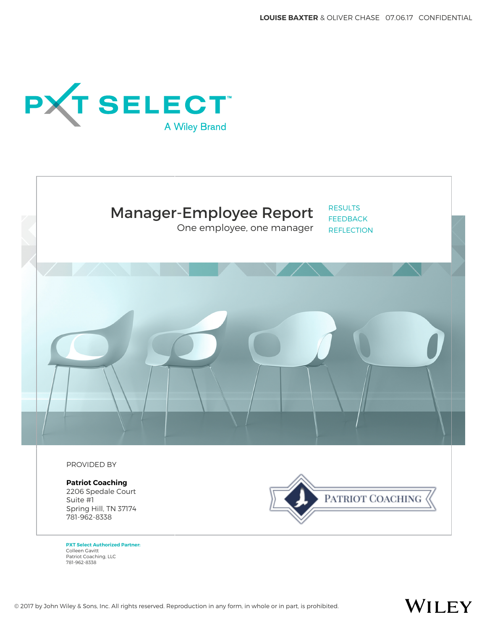



One employee, one manager

RESULTS FEEDBACK **REFLECTION** 

PROVIDED BY

**Patriot Coaching** 2206 Spedale Court Suite #1 Spring Hill, TN 37174 781-962-8338



**PXT Select Authorized Partner:** Colleen Gavitt Patriot Coaching, LLC 781-962-8338

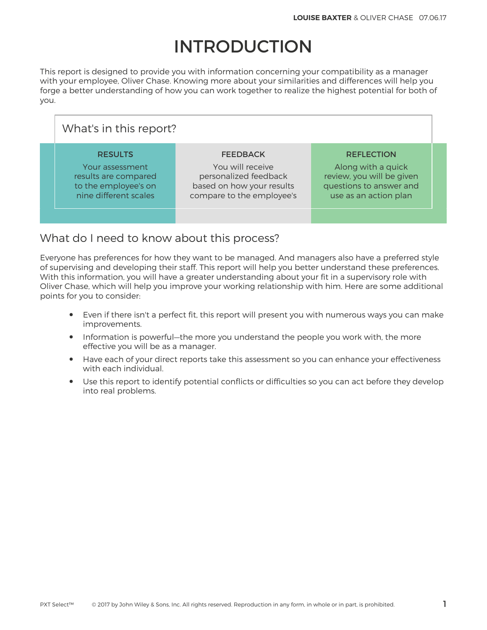# INTRODUCTION

This report is designed to provide you with information concerning your compatibility as a manager with your employee, Oliver Chase. Knowing more about your similarities and differences will help you forge a better understanding of how you can work together to realize the highest potential for both of you.

| What's in this report?                                                                                     |                                                                                                                        |                                                                                                                          |  |  |  |  |  |
|------------------------------------------------------------------------------------------------------------|------------------------------------------------------------------------------------------------------------------------|--------------------------------------------------------------------------------------------------------------------------|--|--|--|--|--|
| <b>RESULTS</b><br>Your assessment<br>results are compared<br>to the employee's on<br>nine different scales | <b>FEEDBACK</b><br>You will receive<br>personalized feedback<br>based on how your results<br>compare to the employee's | <b>REFLECTION</b><br>Along with a quick<br>review, you will be given<br>questions to answer and<br>use as an action plan |  |  |  |  |  |
|                                                                                                            |                                                                                                                        |                                                                                                                          |  |  |  |  |  |

## What do I need to know about this process?

Everyone has preferences for how they want to be managed. And managers also have a preferred style of supervising and developing their staff. This report will help you better understand these preferences. With this information, you will have a greater understanding about your fit in a supervisory role with Oliver Chase, which will help you improve your working relationship with him. Here are some additional points for you to consider:

- Even if there isn't a perfect fit, this report will present you with numerous ways you can make improvements.
- Information is powerful—the more you understand the people you work with, the more effective you will be as a manager.
- Have each of your direct reports take this assessment so you can enhance your effectiveness with each individual.
- Use this report to identify potential conflicts or difficulties so you can act before they develop into real problems.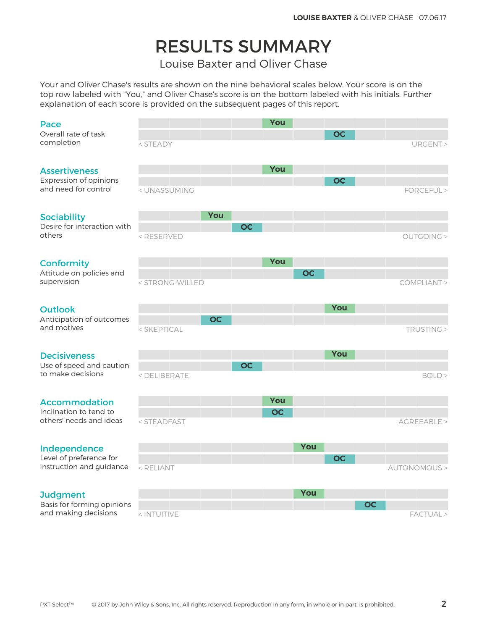# RESULTS SUMMARY

Louise Baxter and Oliver Chase

Your and Oliver Chase's results are shown on the nine behavioral scales below. Your score is on the top row labeled with "You," and Oliver Chase's score is on the bottom labeled with his initials. Further explanation of each score is provided on the subsequent pages of this report.

#### Pace

#### Assertiveness

#### **Conformity**

#### Outlook

#### **Decisiveness**

#### Accommodation

#### Independence

#### **Judgment**

| Pace                                                |                                                                                                         |           | You       |           |           |           |                      |
|-----------------------------------------------------|---------------------------------------------------------------------------------------------------------|-----------|-----------|-----------|-----------|-----------|----------------------|
| Overall rate of task<br>completion                  | < STEADY                                                                                                |           |           |           | <b>OC</b> |           | URGENT >             |
| <b>Assertiveness</b>                                |                                                                                                         |           | You       |           |           |           |                      |
| Expression of opinions<br>and need for control      | < UNASSUMING                                                                                            |           |           |           | <b>OC</b> |           | FORCEFUL >           |
| <b>Sociability</b><br>Desire for interaction with   | You                                                                                                     | <b>OC</b> |           |           |           |           |                      |
| others                                              | <reserved< td=""><td></td><td></td><td></td><td></td><td></td><td><b>OUTGOING &gt;</b></td></reserved<> |           |           |           |           |           | <b>OUTGOING &gt;</b> |
| <b>Conformity</b>                                   |                                                                                                         |           | You       |           |           |           |                      |
| Attitude on policies and<br>supervision             | < STRONG-WILLED                                                                                         |           |           | <b>OC</b> |           |           | COMPLIANT >          |
| <b>Outlook</b>                                      |                                                                                                         |           |           |           | You       |           |                      |
| Anticipation of outcomes<br>and motives             | OC<br>< SKEPTICAL                                                                                       |           |           |           |           |           | TRUSTING >           |
| <b>Decisiveness</b>                                 |                                                                                                         |           |           |           | You       |           |                      |
| Use of speed and caution<br>to make decisions       | < DELIBERATE                                                                                            | <b>OC</b> |           |           |           |           | BOLD >               |
| <b>Accommodation</b>                                |                                                                                                         |           | You       |           |           |           |                      |
| Inclination to tend to<br>others' needs and ideas   | < STEADFAST                                                                                             |           | <b>OC</b> |           |           |           | AGREEABLE >          |
| Independence                                        |                                                                                                         |           |           | You       |           |           |                      |
| Level of preference for<br>instruction and guidance | < RELIANT                                                                                               |           |           |           | <b>OC</b> |           | AUTONOMOUS >         |
| <b>Judgment</b>                                     |                                                                                                         |           |           | You       |           |           |                      |
| Basis for forming opinions<br>and making decisions  | < INTUITIVE                                                                                             |           |           |           |           | <b>OC</b> | FACTUAL >            |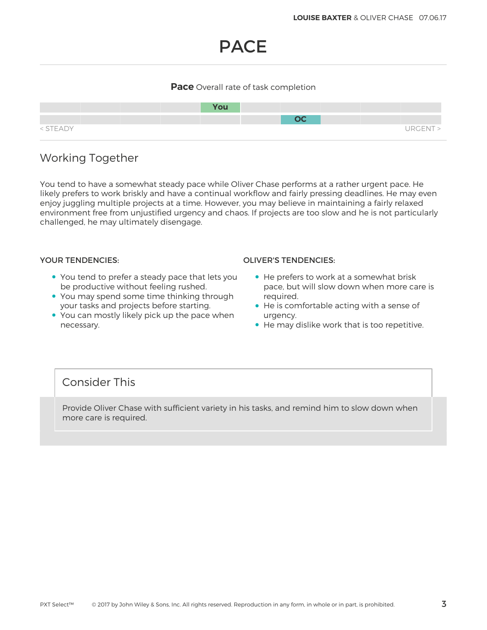# PACE

### **Pace** Overall rate of task completion



# Working Together

You tend to have a somewhat steady pace while Oliver Chase performs at a rather urgent pace. He likely prefers to work briskly and have a continual workflow and fairly pressing deadlines. He may even enjoy juggling multiple projects at a time. However, you may believe in maintaining a fairly relaxed environment free from unjustified urgency and chaos. If projects are too slow and he is not particularly challenged, he may ultimately disengage.

- You tend to prefer a steady pace that lets you be productive without feeling rushed.
- You may spend some time thinking through your tasks and projects before starting.
- You can mostly likely pick up the pace when necessary.

#### YOUR TENDENCIES: OLIVER'S TENDENCIES:

- He prefers to work at a somewhat brisk pace, but will slow down when more care is required.
- He is comfortable acting with a sense of urgency.
- He may dislike work that is too repetitive.

### Consider This

Provide Oliver Chase with sufficient variety in his tasks, and remind him to slow down when more care is required.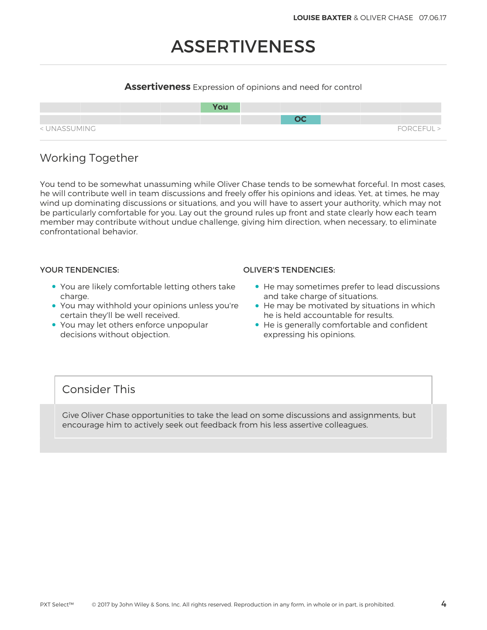# ASSERTIVENESS

### **Assertiveness** Expression of opinions and need for control



# Working Together

You tend to be somewhat unassuming while Oliver Chase tends to be somewhat forceful. In most cases, he will contribute well in team discussions and freely offer his opinions and ideas. Yet, at times, he may wind up dominating discussions or situations, and you will have to assert your authority, which may not be particularly comfortable for you. Lay out the ground rules up front and state clearly how each team member may contribute without undue challenge, giving him direction, when necessary, to eliminate confrontational behavior.

- You are likely comfortable letting others take charge.
- You may withhold your opinions unless you're certain they'll be well received.
- You may let others enforce unpopular decisions without objection.

#### YOUR TENDENCIES: OLIVER'S TENDENCIES:

- He may sometimes prefer to lead discussions and take charge of situations.
- He may be motivated by situations in which he is held accountable for results.
- He is generally comfortable and confident expressing his opinions.

### Consider This

Give Oliver Chase opportunities to take the lead on some discussions and assignments, but encourage him to actively seek out feedback from his less assertive colleagues.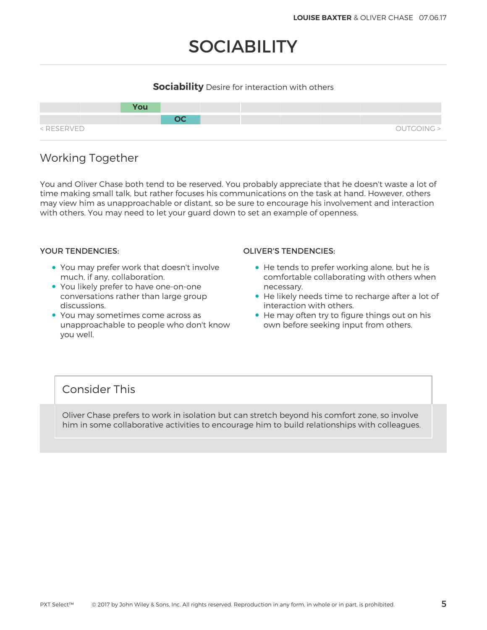# **SOCIABILITY**

### **Sociability** Desire for interaction with others



# Working Together

You and Oliver Chase both tend to be reserved. You probably appreciate that he doesn't waste a lot of time making small talk, but rather focuses his communications on the task at hand. However, others may view him as unapproachable or distant, so be sure to encourage his involvement and interaction with others. You may need to let your guard down to set an example of openness.

- You may prefer work that doesn't involve much, if any, collaboration.
- You likely prefer to have one-on-one conversations rather than large group discussions.
- You may sometimes come across as unapproachable to people who don't know you well.

#### YOUR TENDENCIES: OLIVER'S TENDENCIES:

- He tends to prefer working alone, but he is comfortable collaborating with others when necessary.
- He likely needs time to recharge after a lot of interaction with others.
- He may often try to figure things out on his own before seeking input from others.

### Consider This

Oliver Chase prefers to work in isolation but can stretch beyond his comfort zone, so involve him in some collaborative activities to encourage him to build relationships with colleagues.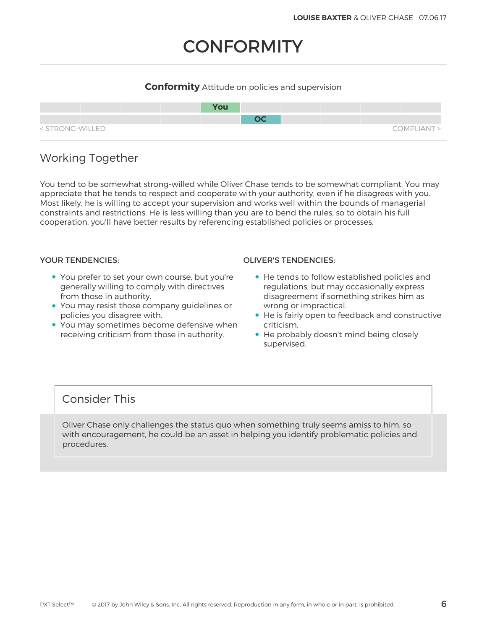# **CONFORMITY**

### **Conformity** Attitude on policies and supervision



# Working Together

You tend to be somewhat strong-willed while Oliver Chase tends to be somewhat compliant. You may appreciate that he tends to respect and cooperate with your authority, even if he disagrees with you. Most likely, he is willing to accept your supervision and works well within the bounds of managerial constraints and restrictions. He is less willing than you are to bend the rules, so to obtain his full cooperation, you'll have better results by referencing established policies or processes.

- You prefer to set your own course, but you're generally willing to comply with directives from those in authority.
- You may resist those company guidelines or policies you disagree with.
- You may sometimes become defensive when receiving criticism from those in authority.

#### YOUR TENDENCIES: OLIVER'S TENDENCIES:

- He tends to follow established policies and regulations, but may occasionally express disagreement if something strikes him as wrong or impractical.
- He is fairly open to feedback and constructive criticism.
- He probably doesn't mind being closely supervised.

## Consider This

Oliver Chase only challenges the status quo when something truly seems amiss to him, so with encouragement, he could be an asset in helping you identify problematic policies and procedures.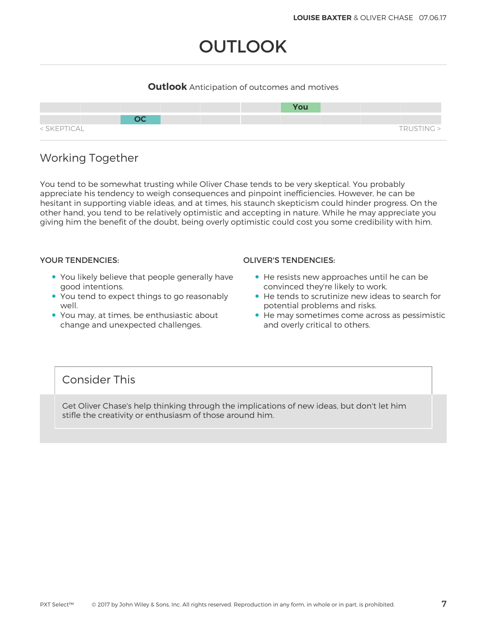# **OUTLOOK**

### **Outlook** Anticipation of outcomes and motives



# Working Together

You tend to be somewhat trusting while Oliver Chase tends to be very skeptical. You probably appreciate his tendency to weigh consequences and pinpoint inefficiencies. However, he can be hesitant in supporting viable ideas, and at times, his staunch skepticism could hinder progress. On the other hand, you tend to be relatively optimistic and accepting in nature. While he may appreciate you giving him the benefit of the doubt, being overly optimistic could cost you some credibility with him.

- You likely believe that people generally have good intentions.
- You tend to expect things to go reasonably well.
- You may, at times, be enthusiastic about change and unexpected challenges.

#### YOUR TENDENCIES: OLIVER'S TENDENCIES:

- He resists new approaches until he can be convinced they're likely to work.
- He tends to scrutinize new ideas to search for potential problems and risks.
- He may sometimes come across as pessimistic and overly critical to others.

## Consider This

Get Oliver Chase's help thinking through the implications of new ideas, but don't let him stifle the creativity or enthusiasm of those around him.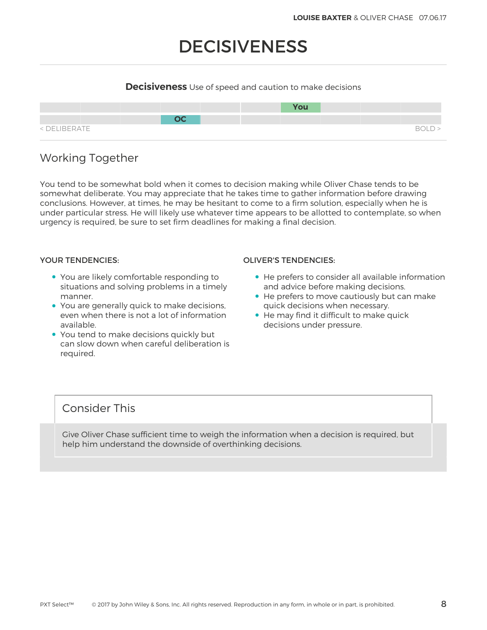# DECISIVENESS

### **Decisiveness** Use of speed and caution to make decisions



# Working Together

You tend to be somewhat bold when it comes to decision making while Oliver Chase tends to be somewhat deliberate. You may appreciate that he takes time to gather information before drawing conclusions. However, at times, he may be hesitant to come to a firm solution, especially when he is under particular stress. He will likely use whatever time appears to be allotted to contemplate, so when urgency is required, be sure to set firm deadlines for making a final decision.

- You are likely comfortable responding to situations and solving problems in a timely manner.
- You are generally quick to make decisions, even when there is not a lot of information available.
- You tend to make decisions quickly but can slow down when careful deliberation is required.

#### YOUR TENDENCIES: OLIVER'S TENDENCIES:

- He prefers to consider all available information and advice before making decisions.
- He prefers to move cautiously but can make quick decisions when necessary.
- He may find it difficult to make quick decisions under pressure.

## Consider This

Give Oliver Chase sufficient time to weigh the information when a decision is required, but help him understand the downside of overthinking decisions.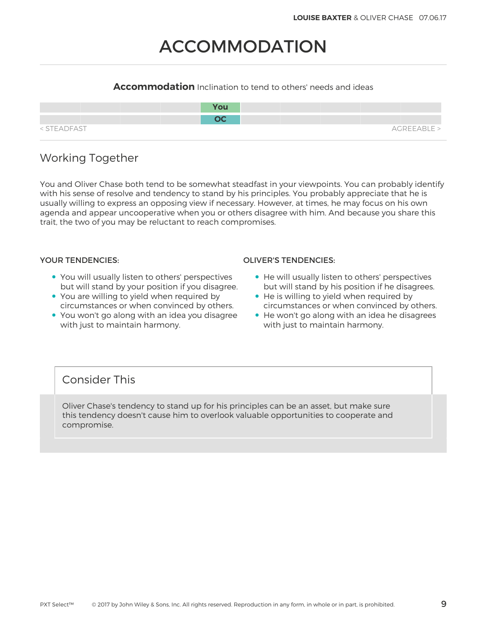# ACCOMMODATION

### **Accommodation** Inclination to tend to others' needs and ideas

|             | <b>You</b> |             |
|-------------|------------|-------------|
|             | nr.        |             |
| < STEADFAST |            | AGREEABLE > |

# Working Together

You and Oliver Chase both tend to be somewhat steadfast in your viewpoints. You can probably identify with his sense of resolve and tendency to stand by his principles. You probably appreciate that he is usually willing to express an opposing view if necessary. However, at times, he may focus on his own agenda and appear uncooperative when you or others disagree with him. And because you share this trait, the two of you may be reluctant to reach compromises.

- You will usually listen to others' perspectives but will stand by your position if you disagree.
- You are willing to yield when required by circumstances or when convinced by others.
- You won't go along with an idea you disagree with just to maintain harmony.

#### YOUR TENDENCIES: OLIVER'S TENDENCIES:

- He will usually listen to others' perspectives but will stand by his position if he disagrees.
- He is willing to yield when required by circumstances or when convinced by others.
- He won't go along with an idea he disagrees with just to maintain harmony.

## Consider This

Oliver Chase's tendency to stand up for his principles can be an asset, but make sure this tendency doesn't cause him to overlook valuable opportunities to cooperate and compromise.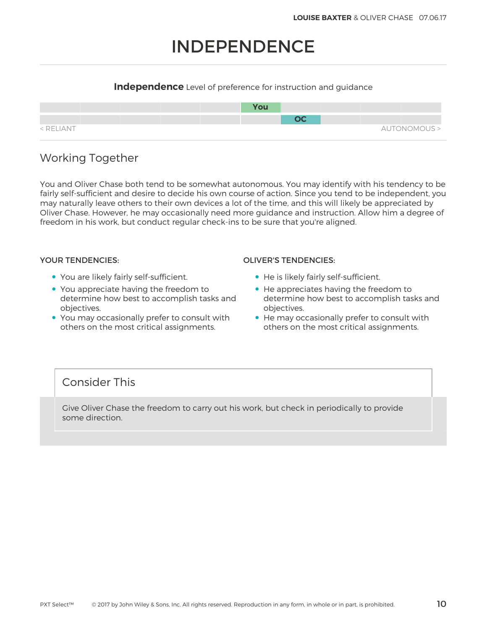# INDEPENDENCE

### **Independence** Level of preference for instruction and guidance



# Working Together

You and Oliver Chase both tend to be somewhat autonomous. You may identify with his tendency to be fairly self-sufficient and desire to decide his own course of action. Since you tend to be independent, you may naturally leave others to their own devices a lot of the time, and this will likely be appreciated by Oliver Chase. However, he may occasionally need more guidance and instruction. Allow him a degree of freedom in his work, but conduct regular check-ins to be sure that you're aligned.

- You are likely fairly self-sufficient.
- You appreciate having the freedom to determine how best to accomplish tasks and objectives.
- You may occasionally prefer to consult with others on the most critical assignments.

#### YOUR TENDENCIES: OLIVER'S TENDENCIES:

- He is likely fairly self-sufficient.
- He appreciates having the freedom to determine how best to accomplish tasks and objectives.
- He may occasionally prefer to consult with others on the most critical assignments.

## Consider This

Give Oliver Chase the freedom to carry out his work, but check in periodically to provide some direction.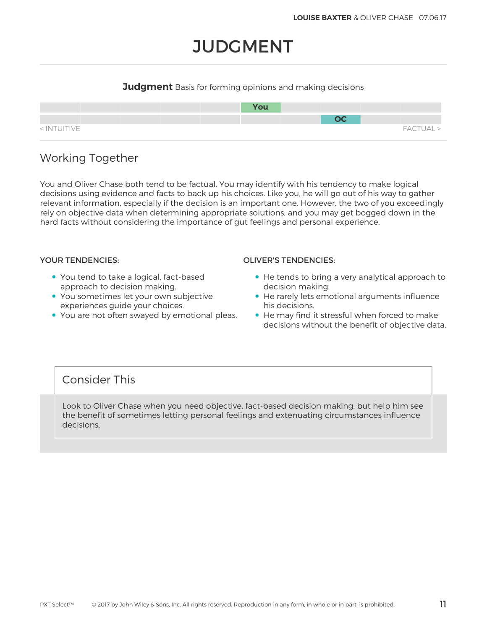# **JUDGMENT**

### **Judgment** Basis for forming opinions and making decisions



# Working Together

You and Oliver Chase both tend to be factual. You may identify with his tendency to make logical decisions using evidence and facts to back up his choices. Like you, he will go out of his way to gather relevant information, especially if the decision is an important one. However, the two of you exceedingly rely on objective data when determining appropriate solutions, and you may get bogged down in the hard facts without considering the importance of gut feelings and personal experience.

- You tend to take a logical, fact-based approach to decision making.
- You sometimes let your own subjective experiences guide your choices.
- You are not often swayed by emotional pleas.

#### YOUR TENDENCIES: OLIVER'S TENDENCIES:

- He tends to bring a very analytical approach to decision making.
- He rarely lets emotional arguments influence his decisions.
- He may find it stressful when forced to make decisions without the benefit of objective data.

## Consider This

Look to Oliver Chase when you need objective, fact-based decision making, but help him see the benefit of sometimes letting personal feelings and extenuating circumstances influence decisions.